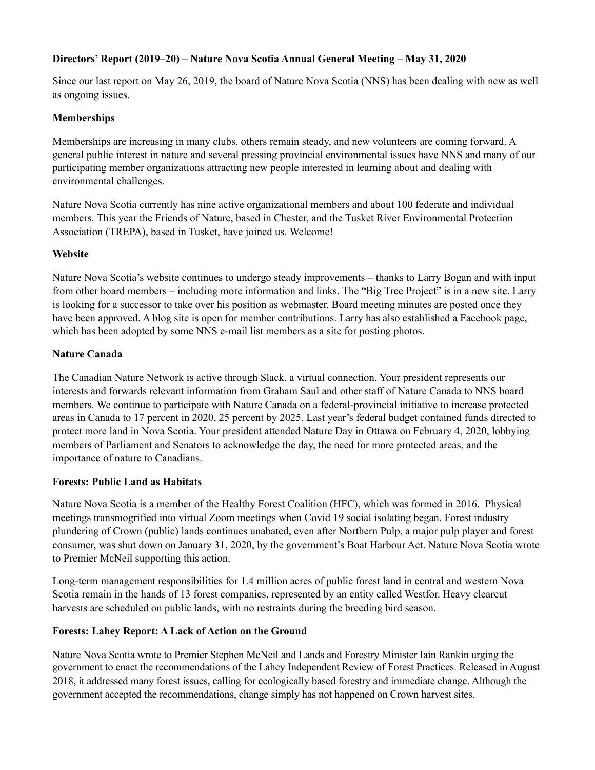# **Directors' Report (2019–20) – Nature Nova Scotia Annual General Meeting – May 31, 2020**

Since our last report on May 26, 2019, the board of Nature Nova Scotia (NNS) has been dealing with new as well as ongoing issues.

## **Memberships**

Memberships are increasing in many clubs, others remain steady, and new volunteers are coming forward. A general public interest in nature and several pressing provincial environmental issues have NNS and many of our participating member organizations attracting new people interested in learning about and dealing with environmental challenges.

Nature Nova Scotia currently has nine active organizational members and about 100 federate and individual members. This year the Friends of Nature, based in Chester, and the Tusket River Environmental Protection Association (TREPA), based in Tusket, have joined us. Welcome!

### **Website**

Nature Nova Scotia's website continues to undergo steady improvements – thanks to Larry Bogan and with input from other board members – including more information and links. The "Big Tree Project" is in a new site. Larry is looking for a successor to take over his position as webmaster. Board meeting minutes are posted once they have been approved. A blog site is open for member contributions. Larry has also established a Facebook page, which has been adopted by some NNS e-mail list members as a site for posting photos.

### **Nature Canada**

The Canadian Nature Network is active through Slack, a virtual connection. Your president represents our interests and forwards relevant information from Graham Saul and other staff of Nature Canada to NNS board members. We continue to participate with Nature Canada on a federal-provincial initiative to increase protected areas in Canada to 17 percent in 2020, 25 percent by 2025. Last year's federal budget contained funds directed to protect more land in Nova Scotia. Your president attended Nature Day in Ottawa on February 4, 2020, lobbying members of Parliament and Senators to acknowledge the day, the need for more protected areas, and the importance of nature to Canadians.

## **Forests: Public Land as Habitats**

Nature Nova Scotia is a member of the Healthy Forest Coalition (HFC), which was formed in 2016. Physical meetings transmogrified into virtual Zoom meetings when Covid 19 social isolating began. Forest industry plundering of Crown (public) lands continues unabated, even after Northern Pulp, a major pulp player and forest consumer, was shut down on January 31, 2020, by the government's Boat Harbour Act. Nature Nova Scotia wrote to Premier McNeil supporting this action.

Long-term management responsibilities for 1.4 million acres of public forest land in central and western Nova Scotia remain in the hands of 13 forest companies, represented by an entity called Westfor. Heavy clearcut harvests are scheduled on public lands, with no restraints during the breeding bird season.

## **Forests: Lahey Report: A Lack of Action on the Ground**

Nature Nova Scotia wrote to Premier Stephen McNeil and Lands and Forestry Minister Iain Rankin urging the government to enact the recommendations of the Lahey Independent Review of Forest Practices. Released in August 2018, it addressed many forest issues, calling for ecologically based forestry and immediate change. Although the government accepted the recommendations, change simply has not happened on Crown harvest sites.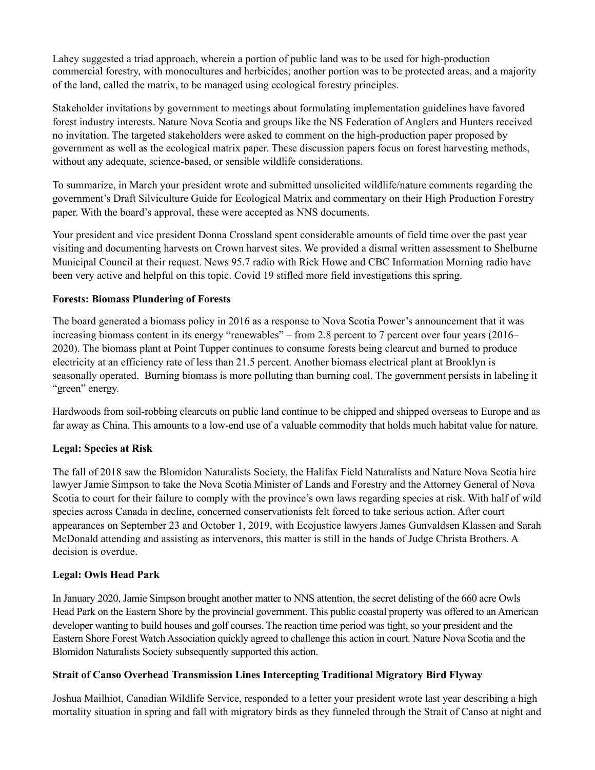Lahey suggested a triad approach, wherein a portion of public land was to be used for high-production commercial forestry, with monocultures and herbicides; another portion was to be protected areas, and a majority of the land, called the matrix, to be managed using ecological forestry principles.

Stakeholder invitations by government to meetings about formulating implementation guidelines have favored forest industry interests. Nature Nova Scotia and groups like the NS Federation of Anglers and Hunters received no invitation. The targeted stakeholders were asked to comment on the high-production paper proposed by government as well as the ecological matrix paper. These discussion papers focus on forest harvesting methods, without any adequate, science-based, or sensible wildlife considerations.

To summarize, in March your president wrote and submitted unsolicited wildlife/nature comments regarding the government's Draft Silviculture Guide for Ecological Matrix and commentary on their High Production Forestry paper. With the board's approval, these were accepted as NNS documents.

Your president and vice president Donna Crossland spent considerable amounts of field time over the past year visiting and documenting harvests on Crown harvest sites. We provided a dismal written assessment to Shelburne Municipal Council at their request. News 95.7 radio with Rick Howe and CBC Information Morning radio have been very active and helpful on this topic. Covid 19 stifled more field investigations this spring.

### **Forests: Biomass Plundering of Forests**

The board generated a biomass policy in 2016 as a response to Nova Scotia Power's announcement that it was increasing biomass content in its energy "renewables" – from 2.8 percent to 7 percent over four years (2016– 2020). The biomass plant at Point Tupper continues to consume forests being clearcut and burned to produce electricity at an efficiency rate of less than 21.5 percent. Another biomass electrical plant at Brooklyn is seasonally operated. Burning biomass is more polluting than burning coal. The government persists in labeling it "green" energy.

Hardwoods from soil-robbing clearcuts on public land continue to be chipped and shipped overseas to Europe and as far away as China. This amounts to a low-end use of a valuable commodity that holds much habitat value for nature.

## **Legal: Species at Risk**

The fall of 2018 saw the Blomidon Naturalists Society, the Halifax Field Naturalists and Nature Nova Scotia hire lawyer Jamie Simpson to take the Nova Scotia Minister of Lands and Forestry and the Attorney General of Nova Scotia to court for their failure to comply with the province's own laws regarding species at risk. With half of wild species across Canada in decline, concerned conservationists felt forced to take serious action. After court appearances on September 23 and October 1, 2019, with Ecojustice lawyers James Gunvaldsen Klassen and Sarah McDonald attending and assisting as intervenors, this matter is still in the hands of Judge Christa Brothers. A decision is overdue.

## **Legal: Owls Head Park**

In January 2020, Jamie Simpson brought another matter to NNS attention, the secret delisting of the 660 acre Owls Head Park on the Eastern Shore by the provincial government. This public coastal property was offered to an American developer wanting to build houses and golf courses. The reaction time period was tight, so your president and the Eastern Shore Forest Watch Association quickly agreed to challenge this action in court. Nature Nova Scotia and the Blomidon Naturalists Society subsequently supported this action.

#### **Strait of Canso Overhead Transmission Lines Intercepting Traditional Migratory Bird Flyway**

Joshua Mailhiot, Canadian Wildlife Service, responded to a letter your president wrote last year describing a high mortality situation in spring and fall with migratory birds as they funneled through the Strait of Canso at night and